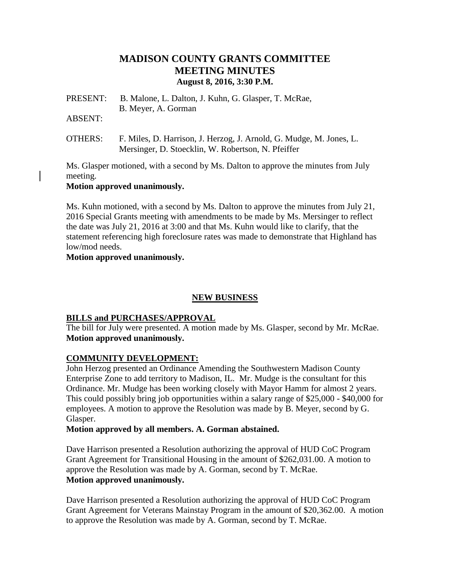# **MADISON COUNTY GRANTS COMMITTEE MEETING MINUTES August 8, 2016, 3:30 P.M.**

PRESENT: B. Malone, L. Dalton, J. Kuhn, G. Glasper, T. McRae, B. Meyer, A. Gorman

ABSENT:

OTHERS: F. Miles, D. Harrison, J. Herzog, J. Arnold, G. Mudge, M. Jones, L. Mersinger, D. Stoecklin, W. Robertson, N. Pfeiffer

Ms. Glasper motioned, with a second by Ms. Dalton to approve the minutes from July meeting.

#### **Motion approved unanimously.**

Ms. Kuhn motioned, with a second by Ms. Dalton to approve the minutes from July 21, 2016 Special Grants meeting with amendments to be made by Ms. Mersinger to reflect the date was July 21, 2016 at 3:00 and that Ms. Kuhn would like to clarify, that the statement referencing high foreclosure rates was made to demonstrate that Highland has low/mod needs.

**Motion approved unanimously.**

## **NEW BUSINESS**

## **BILLS and PURCHASES/APPROVAL**

The bill for July were presented. A motion made by Ms. Glasper, second by Mr. McRae. **Motion approved unanimously.**

## **COMMUNITY DEVELOPMENT:**

John Herzog presented an Ordinance Amending the Southwestern Madison County Enterprise Zone to add territory to Madison, IL. Mr. Mudge is the consultant for this Ordinance. Mr. Mudge has been working closely with Mayor Hamm for almost 2 years. This could possibly bring job opportunities within a salary range of \$25,000 - \$40,000 for employees. A motion to approve the Resolution was made by B. Meyer, second by G. Glasper.

## **Motion approved by all members. A. Gorman abstained.**

Dave Harrison presented a Resolution authorizing the approval of HUD CoC Program Grant Agreement for Transitional Housing in the amount of \$262,031.00. A motion to approve the Resolution was made by A. Gorman, second by T. McRae. **Motion approved unanimously.**

Dave Harrison presented a Resolution authorizing the approval of HUD CoC Program Grant Agreement for Veterans Mainstay Program in the amount of \$20,362.00. A motion to approve the Resolution was made by A. Gorman, second by T. McRae.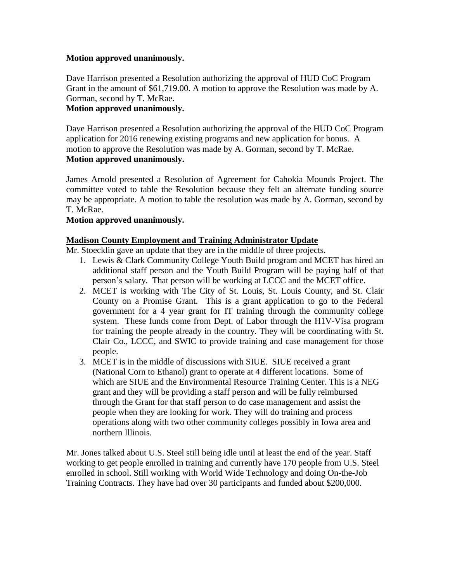#### **Motion approved unanimously.**

Dave Harrison presented a Resolution authorizing the approval of HUD CoC Program Grant in the amount of \$61,719.00. A motion to approve the Resolution was made by A. Gorman, second by T. McRae.

## **Motion approved unanimously.**

Dave Harrison presented a Resolution authorizing the approval of the HUD CoC Program application for 2016 renewing existing programs and new application for bonus. A motion to approve the Resolution was made by A. Gorman, second by T. McRae. **Motion approved unanimously.**

James Arnold presented a Resolution of Agreement for Cahokia Mounds Project. The committee voted to table the Resolution because they felt an alternate funding source may be appropriate. A motion to table the resolution was made by A. Gorman, second by T. McRae.

#### **Motion approved unanimously.**

#### **Madison County Employment and Training Administrator Update**

Mr. Stoecklin gave an update that they are in the middle of three projects.

- 1. Lewis & Clark Community College Youth Build program and MCET has hired an additional staff person and the Youth Build Program will be paying half of that person's salary. That person will be working at LCCC and the MCET office.
- 2. MCET is working with The City of St. Louis, St. Louis County, and St. Clair County on a Promise Grant. This is a grant application to go to the Federal government for a 4 year grant for IT training through the community college system. These funds come from Dept. of Labor through the H1V-Visa program for training the people already in the country. They will be coordinating with St. Clair Co., LCCC, and SWIC to provide training and case management for those people.
- 3. MCET is in the middle of discussions with SIUE. SIUE received a grant (National Corn to Ethanol) grant to operate at 4 different locations. Some of which are SIUE and the Environmental Resource Training Center. This is a NEG grant and they will be providing a staff person and will be fully reimbursed through the Grant for that staff person to do case management and assist the people when they are looking for work. They will do training and process operations along with two other community colleges possibly in Iowa area and northern Illinois.

Mr. Jones talked about U.S. Steel still being idle until at least the end of the year. Staff working to get people enrolled in training and currently have 170 people from U.S. Steel enrolled in school. Still working with World Wide Technology and doing On-the-Job Training Contracts. They have had over 30 participants and funded about \$200,000.